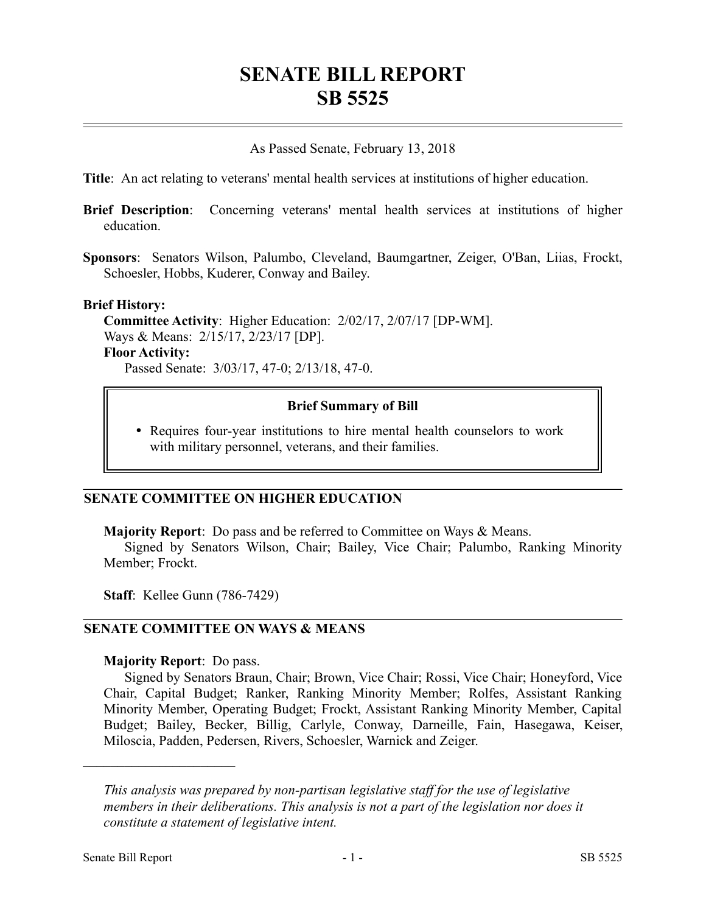# **SENATE BILL REPORT SB 5525**

As Passed Senate, February 13, 2018

**Title**: An act relating to veterans' mental health services at institutions of higher education.

- **Brief Description**: Concerning veterans' mental health services at institutions of higher education.
- **Sponsors**: Senators Wilson, Palumbo, Cleveland, Baumgartner, Zeiger, O'Ban, Liias, Frockt, Schoesler, Hobbs, Kuderer, Conway and Bailey.

#### **Brief History:**

**Committee Activity**: Higher Education: 2/02/17, 2/07/17 [DP-WM]. Ways & Means: 2/15/17, 2/23/17 [DP]. **Floor Activity:** Passed Senate: 3/03/17, 47-0; 2/13/18, 47-0.

#### **Brief Summary of Bill**

 Requires four-year institutions to hire mental health counselors to work with military personnel, veterans, and their families.

#### **SENATE COMMITTEE ON HIGHER EDUCATION**

**Majority Report**: Do pass and be referred to Committee on Ways & Means.

Signed by Senators Wilson, Chair; Bailey, Vice Chair; Palumbo, Ranking Minority Member; Frockt.

**Staff**: Kellee Gunn (786-7429)

## **SENATE COMMITTEE ON WAYS & MEANS**

#### **Majority Report**: Do pass.

––––––––––––––––––––––

Signed by Senators Braun, Chair; Brown, Vice Chair; Rossi, Vice Chair; Honeyford, Vice Chair, Capital Budget; Ranker, Ranking Minority Member; Rolfes, Assistant Ranking Minority Member, Operating Budget; Frockt, Assistant Ranking Minority Member, Capital Budget; Bailey, Becker, Billig, Carlyle, Conway, Darneille, Fain, Hasegawa, Keiser, Miloscia, Padden, Pedersen, Rivers, Schoesler, Warnick and Zeiger.

*This analysis was prepared by non-partisan legislative staff for the use of legislative members in their deliberations. This analysis is not a part of the legislation nor does it constitute a statement of legislative intent.*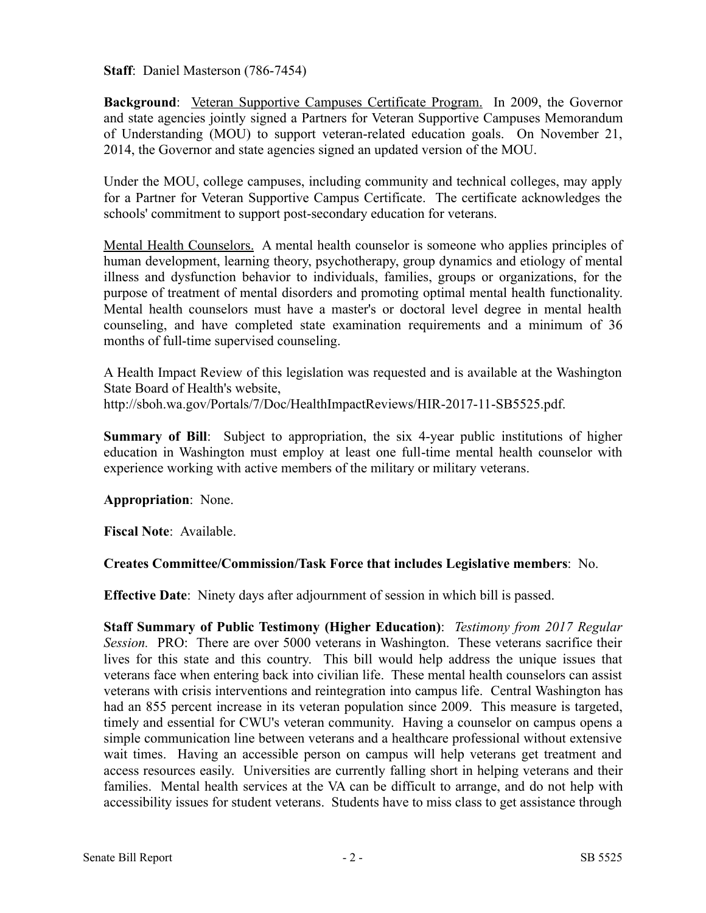**Staff**: Daniel Masterson (786-7454)

**Background**: Veteran Supportive Campuses Certificate Program. In 2009, the Governor and state agencies jointly signed a Partners for Veteran Supportive Campuses Memorandum of Understanding (MOU) to support veteran-related education goals. On November 21, 2014, the Governor and state agencies signed an updated version of the MOU.

Under the MOU, college campuses, including community and technical colleges, may apply for a Partner for Veteran Supportive Campus Certificate. The certificate acknowledges the schools' commitment to support post-secondary education for veterans.

Mental Health Counselors. A mental health counselor is someone who applies principles of human development, learning theory, psychotherapy, group dynamics and etiology of mental illness and dysfunction behavior to individuals, families, groups or organizations, for the purpose of treatment of mental disorders and promoting optimal mental health functionality. Mental health counselors must have a master's or doctoral level degree in mental health counseling, and have completed state examination requirements and a minimum of 36 months of full-time supervised counseling.

A Health Impact Review of this legislation was requested and is available at the Washington State Board of Health's website, http://sboh.wa.gov/Portals/7/Doc/HealthImpactReviews/HIR-2017-11-SB5525.pdf.

**Summary of Bill**: Subject to appropriation, the six 4-year public institutions of higher education in Washington must employ at least one full-time mental health counselor with experience working with active members of the military or military veterans.

**Appropriation**: None.

**Fiscal Note**: Available.

# **Creates Committee/Commission/Task Force that includes Legislative members**: No.

**Effective Date**: Ninety days after adjournment of session in which bill is passed.

**Staff Summary of Public Testimony (Higher Education)**: *Testimony from 2017 Regular Session.* PRO: There are over 5000 veterans in Washington. These veterans sacrifice their lives for this state and this country. This bill would help address the unique issues that veterans face when entering back into civilian life. These mental health counselors can assist veterans with crisis interventions and reintegration into campus life. Central Washington has had an 855 percent increase in its veteran population since 2009. This measure is targeted, timely and essential for CWU's veteran community. Having a counselor on campus opens a simple communication line between veterans and a healthcare professional without extensive wait times. Having an accessible person on campus will help veterans get treatment and access resources easily. Universities are currently falling short in helping veterans and their families. Mental health services at the VA can be difficult to arrange, and do not help with accessibility issues for student veterans. Students have to miss class to get assistance through